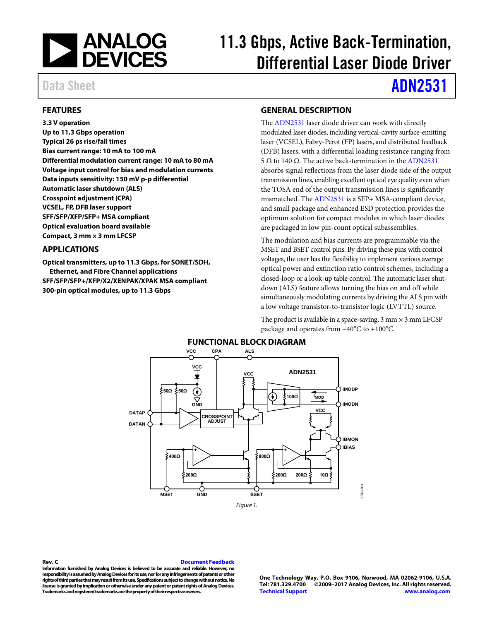

# 11.3 Gbps, Active Back-Termination, Differential Laser Diode Driver

Data Sheet **[ADN2531](http://www.analog.com/ADN2531?doc=ADN2531.pdf)** 

### <span id="page-0-0"></span>**FEATURES**

**3.3 V operation Up to 11.3 Gbps operation Typical 26 ps rise/fall times Bias current range: 10 mA to 100 mA Differential modulation current range: 10 mA to 80 mA Voltage input control for bias and modulation currents Data inputs sensitivity: 150 mV p-p differential Automatic laser shutdown (ALS) Crosspoint adjustment (CPA) VCSEL, FP, DFB laser support SFF/SFP/XFP/SFP+ MSA compliant Optical evaluation board available Compact, 3 mm × 3 mm LFCSP**

### <span id="page-0-1"></span>**APPLICATIONS**

<span id="page-0-3"></span>**Optical transmitters, up to 11.3 Gbps, for SONET/SDH, Ethernet, and Fibre Channel applications SFF/SFP/SFP+/XFP/X2/XENPAK/XPAK MSA compliant 300-pin optical modules, up to 11.3 Gbps**

## <span id="page-0-2"></span>**GENERAL DESCRIPTION**

The [ADN2531](http://www.analog.com/ADN2531?doc=ADN2531.pdf) laser diode driver can work with directly modulated laser diodes, including vertical-cavity surface-emitting laser (VCSEL), Fabry-Perot (FP) lasers, and distributed feedback (DFB) lasers, with a differential loading resistance ranging from 5 Ω to 140 Ω. The active back-termination in th[e ADN2531](http://www.analog.com/ADN2531?doc=ADN2531.pdf) absorbs signal reflections from the laser diode side of the output transmission lines, enabling excellent optical eye quality even when the TOSA end of the output transmission lines is significantly mismatched. The [ADN2531](http://www.analog.com/ADN2531?doc=ADN2531.pdf) is a SFP+ MSA-compliant device, and small package and enhanced ESD protection provides the optimum solution for compact modules in which laser diodes are packaged in low pin-count optical subassemblies.

The modulation and bias currents are programmable via the MSET and BSET control pins. By driving these pins with control voltages, the user has the flexibility to implement various average optical power and extinction ratio control schemes, including a closed-loop or a look-up table control. The automatic laser shutdown (ALS) feature allows turning the bias on and off while simultaneously modulating currents by driving the ALS pin with a low voltage transistor-to-transistor logic (LVTTL) source.

The product is available in a space-saving,  $3 \text{ mm} \times 3 \text{ mm}$  LFCSP package and operates from −40°C to +100°C.



<span id="page-0-4"></span>**Rev. C [Document Feedback](https://form.analog.com/Form_Pages/feedback/documentfeedback.aspx?doc=ADN2531.pdf&product=ADN2531&rev=c)**

**Information furnished by Analog Devices is believed to be accurate and reliable. However, no responsibility is assumed by Analog Devices for its use, nor for any infringements of patents or other rights of third parties that may result from its use. Specifications subject to change without notice. No license is granted by implication or otherwise under any patent or patent rights of Analog Devices. Trademarks and registered trademarks are the property of their respective owners.**

**One Technology Way, P.O. Box 9106, Norwood, MA 02062-9106, U.S.A. Tel: 781.329.4700 ©2009–2017 Analog Devices, Inc. All rights reserved. [Technical Support](http://www.analog.com/en/content/technical_support_page/fca.html) [www.analog.com](http://www.analog.com/)**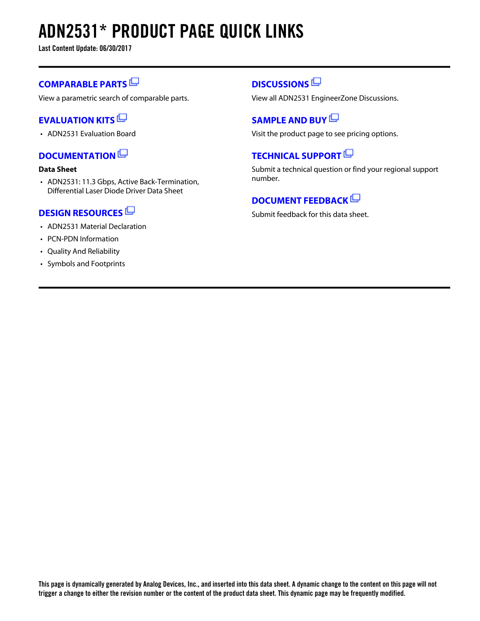# **ADN2531\* PRODUCT PAGE QUICK LINKS**

**Last Content Update: 06/30/2017**

## **[COMPARABLE PARTS](http://www.analog.com/parametricsearch/en/10770?doc=ADN2531.pdf&p0=1&lsrc=pst)**

View a parametric search of comparable parts.

## **[EVALUATION KITS](http://www.analog.com/adn2531/evalkits?doc=ADN2531.pdf&p0=1&lsrc=ek)**

• ADN2531 Evaluation Board

## **[DOCUMENTATION](http://www.analog.com/adn2531/documentation?doc=ADN2531.pdf&p0=1&lsrc=doc)**

## **Data Sheet**

• ADN2531: 11.3 Gbps, Active Back-Termination, Differential Laser Diode Driver Data Sheet

## **[DESIGN RESOURCES](http://www.analog.com/adn2531/designsources?doc=ADN2531.pdf&p0=1&lsrc=dr)**

- ADN2531 Material Declaration
- PCN-PDN Information
- Quality And Reliability
- Symbols and Footprints

## **[DISCUSSIONS](http://www.analog.com/adn2531/discussions?doc=ADN2531.pdf&p0=1&lsrc=disc)**

View all ADN2531 EngineerZone Discussions.

## **[SAMPLE AND BUY](http://www.analog.com/adn2531/sampleandbuy?doc=ADN2531.pdf&p0=1&lsrc=sb)**

Visit the product page to see pricing options.

## **[TECHNICAL SUPPORT](http://www.analog.com/support/technical-support.html?doc=ADN2531.pdf&p0=1&lsrc=techs)**

Submit a technical question or find your regional support number.

## **[DOCUMENT FEEDBACK](https://form.analog.com/Form_Pages/feedback/documentfeedback.aspx?doc=ADN2531.pdf&product=ADN2531&p0=1&lsrc=dfs)**

Submit feedback for this data sheet.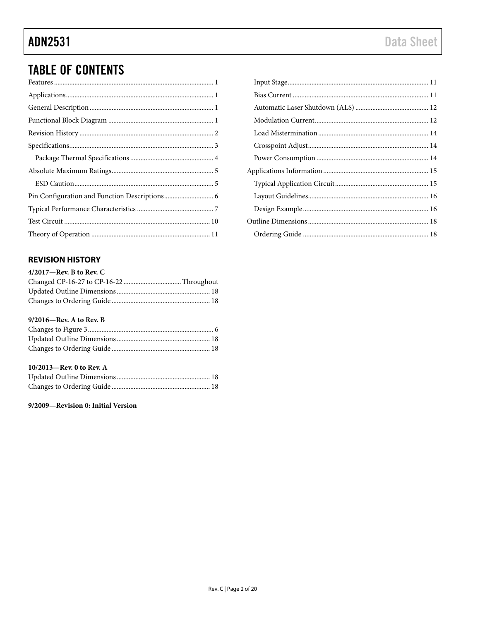# **TABLE OF CONTENTS**

## <span id="page-2-0"></span>**REVISION HISTORY**

| $4/2017$ —Rev. B to Rev. C |  |
|----------------------------|--|
|                            |  |
|                            |  |
|                            |  |

## 9/2016-Rev. A to Rev. B

## 10/2013-Rev. 0 to Rev. A

### 9/2009-Revision 0: Initial Version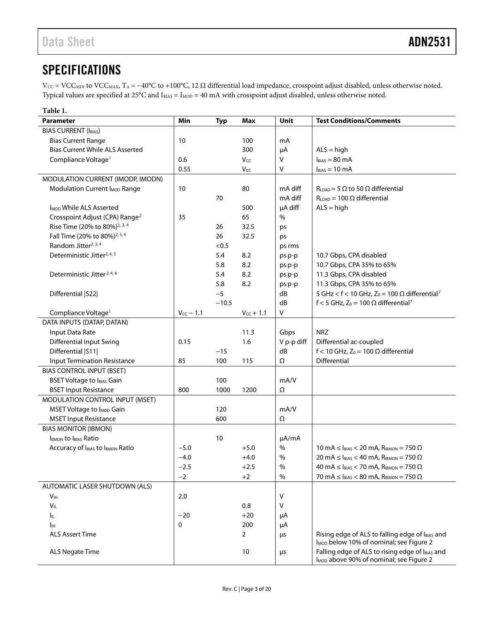## <span id="page-3-0"></span>**SPECIFICATIONS**

 $V_{\text{CC}}$  = VCC<sub>MIN</sub> to VCC<sub>MAX</sub>, T<sub>A</sub> = -40°C to +100°C, 12  $\Omega$  differential load impedance, crosspoint adjust disabled, unless otherwise noted. Typical values are specified at  $25^{\circ}$ C and  $I_{BIAS} = I_{MOD} = 40$  mA with crosspoint adjust disabled, unless otherwise noted.

<span id="page-3-1"></span>

| Table 1.                                    |                |            |                |            |                                                                                                        |
|---------------------------------------------|----------------|------------|----------------|------------|--------------------------------------------------------------------------------------------------------|
| <b>Parameter</b>                            | Min            | <b>Typ</b> | <b>Max</b>     | Unit       | <b>Test Conditions/Comments</b>                                                                        |
| <b>BIAS CURRENT (IBIAS)</b>                 |                |            |                |            |                                                                                                        |
| <b>Bias Current Range</b>                   | 10             |            | 100            | mA         |                                                                                                        |
| <b>Bias Current While ALS Asserted</b>      |                |            | 300            | μA         | $ALS = high$                                                                                           |
| Compliance Voltage <sup>1</sup>             | 0.6            |            | Vcc            | v          | $IBIAS = 80 mA$                                                                                        |
|                                             | 0.55           |            | Vcc            | V          | $I_{BIAS} = 10 \text{ mA}$                                                                             |
| MODULATION CURRENT (IMODP, IMODN)           |                |            |                |            |                                                                                                        |
| Modulation Current I <sub>MOD</sub> Range   | 10             |            | 80             | mA diff    | $R_{LOAD}$ = 5 $\Omega$ to 50 $\Omega$ differential                                                    |
|                                             |                | 70         |                | mA diff    | $R_{LOAD} = 100 \Omega$ differential                                                                   |
| I <sub>MOD</sub> While ALS Asserted         |                |            | 500            | µA diff    | $ALS = high$                                                                                           |
| Crosspoint Adjust (CPA) Range <sup>2</sup>  | 35             |            | 65             | %          |                                                                                                        |
| Rise Time (20% to 80%) <sup>2, 3, 4</sup>   |                | 26         | 32.5           | ps         |                                                                                                        |
| Fall Time (20% to 80%) <sup>2, 3, 4</sup>   |                | 26         | 32.5           | ps         |                                                                                                        |
| Random Jitter <sup>2, 3, 4</sup>            |                | < 0.5      |                | ps rms     |                                                                                                        |
| Deterministic Jitter <sup>2, 4, 5</sup>     |                | 5.4        | 8.2            | ps p-p     | 10.7 Gbps, CPA disabled                                                                                |
|                                             |                | 5.8        | 8.2            | ps p-p     | 10.7 Gbps, CPA 35% to 65%                                                                              |
| Deterministic Jitter <sup>2, 4, 6</sup>     |                | 5.4        | 8.2            | ps p-p     | 11.3 Gbps, CPA disabled                                                                                |
|                                             |                | 5.8        | 8.2            | ps p-p     | 11.3 Gbps, CPA 35% to 65%                                                                              |
| Differential   S22                          |                | $-5$       |                | dB         | 5 GHz < $f$ < 10 GHz, Z <sub>0</sub> = 100 $\Omega$ differential <sup>7</sup>                          |
|                                             |                | $-10.5$    |                | dB         | f < 5 GHz, $Z_0$ = 100 $\Omega$ differential <sup>7</sup>                                              |
| Compliance Voltage <sup>1</sup>             | $V_{CC} - 1.1$ |            | $V_{CC} + 1.1$ | ٧          |                                                                                                        |
| DATA INPUTS (DATAP, DATAN)                  |                |            |                |            |                                                                                                        |
| Input Data Rate                             |                |            | 11.3           | Gbps       | <b>NRZ</b>                                                                                             |
| <b>Differential Input Swing</b>             | 0.15           |            | 1.6            | V p-p diff | Differential ac-coupled                                                                                |
| Differential   S11                          |                | $-15$      |                | dB         | f < 10 GHz, $Z_0$ = 100 $\Omega$ differential                                                          |
| <b>Input Termination Resistance</b>         | 85             | 100        | 115            | Ω          | Differential                                                                                           |
| <b>BIAS CONTROL INPUT (BSET)</b>            |                |            |                |            |                                                                                                        |
| <b>BSET Voltage to IBIAS Gain</b>           |                | 100        |                | mA/V       |                                                                                                        |
| <b>BSET Input Resistance</b>                | 800            | 1000       | 1200           | Ω          |                                                                                                        |
| MODULATION CONTROL INPUT (MSET)             |                |            |                |            |                                                                                                        |
| <b>MSET Voltage to I<sub>MOD</sub></b> Gain |                | 120        |                | mA/V       |                                                                                                        |
| <b>MSET Input Resistance</b>                |                | 600        |                | Ω          |                                                                                                        |
| <b>BIAS MONITOR (IBMON)</b>                 |                |            |                |            |                                                                                                        |
| <b>IBMON to IBIAS Ratio</b>                 |                | 10         |                | µA/mA      |                                                                                                        |
| Accuracy of IBIAS to IBMON Ratio            | $-5.0$         |            | $+5.0$         | $\%$       | 10 mA $\leq$ I <sub>BIAS</sub> < 20 mA, R <sub>IBMON</sub> = 750 $\Omega$                              |
|                                             | $-4.0$         |            | $+4.0$         | $\%$       | 20 mA $\leq$ $I_{BIAS}$ < 40 mA, $R_{IBMON}$ = 750 $\Omega$                                            |
|                                             | $-2.5$         |            | $+2.5$         | %          | 40 mA $\leq$ $I_{BIAS}$ < 70 mA, $R_{IBMON}$ = 750 $\Omega$                                            |
|                                             | $-2$           |            | $+2$           | %          | 70 mA $\leq$ I <sub>BIAS</sub> $<$ 80 mA, R <sub>IBMON</sub> = 750 $\Omega$                            |
| AUTOMATIC LASER SHUTDOWN (ALS)              |                |            |                |            |                                                                                                        |
| V <sub>IH</sub>                             | 2.0            |            |                | ٧          |                                                                                                        |
| $V_{IL}$                                    |                |            | 0.8            | v          |                                                                                                        |
| Ιıμ.                                        | $-20$          |            | $+20$          | μA         |                                                                                                        |
| Iін                                         | 0              |            | 200            | μA         |                                                                                                        |
| <b>ALS Assert Time</b>                      |                |            | $\overline{2}$ | μs         | Rising edge of ALS to falling edge of IBIAS and<br>I <sub>MOD</sub> below 10% of nominal; see Figure 2 |
| <b>ALS Negate Time</b>                      |                |            | 10             | μs         | Falling edge of ALS to rising edge of IBIAS and<br>I <sub>MOD</sub> above 90% of nominal; see Figure 2 |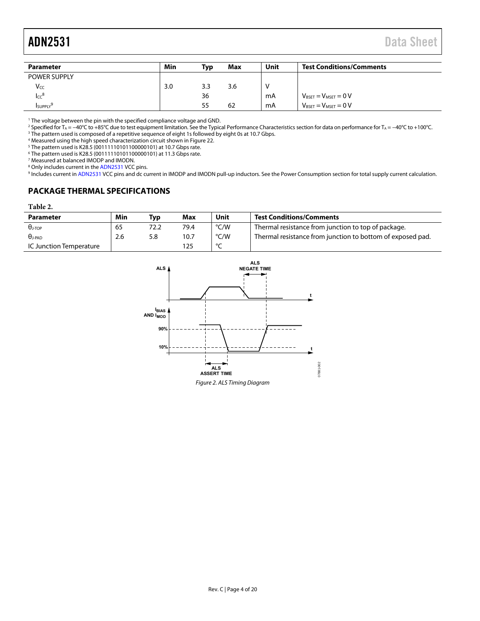<span id="page-4-2"></span>

| <b>Parameter</b>             | Min | <b>Typ</b> | <b>Max</b> | Unit | <b>Test Conditions/Comments</b>           |
|------------------------------|-----|------------|------------|------|-------------------------------------------|
| <b>POWER SUPPLY</b>          |     |            |            |      |                                           |
| Vcc                          | 3.0 | 3.3        | 3.6        |      |                                           |
| $_{\text{LCC}}$ <sup>8</sup> |     | 36         |            | mA   | $V_{\text{BSET}} = V_{\text{MSET}} = 0 V$ |
| <b>I</b> suppLY              |     | 55         | 62         | mA   | $V_{\text{BSET}} = V_{\text{MSET}} = 0 V$ |

<sup>1</sup> The voltage between the pin with the specified compliance voltage and GND.<br><sup>2</sup> Specified for T<sub>A</sub> = =40°C to +85°C due to test equipment limitation. See the Typic:

<sup>2</sup> Specified for T<sub>A</sub> = −40°C to +85°C due to test equipment limitation. See th[e Typical Performance Characteristics s](#page-7-0)ection for data on performance for T<sub>A</sub> = −40°C to +100°C.<br><sup>3</sup> The pattern used is composed of a repet

 $^3$  The pattern used is composed of a repetitive sequence of eight 1s followed by eight 0s at 10.7 Gbps.<br>4 Measured using the bigh speed characterization circuit shown in Figure 22.

<sup>4</sup> Measured using the high speed characterization circuit shown in Figure 22.

<sup>5</sup> The pattern used is K28.5 (00111110101100000101) at 10.7 Gbps rate.

The pattern used is K28.5 (00111110101100000101) at 11.3 Gbps rate. 7

Measured at balanced IMODP and IMODN.

<sup>8</sup> Only includes current in the ADN2531 VCC pins.

<sup>8</sup> Only includes current in th[e ADN2531 V](http://www.analog.com/ADN2531?doc=ADN2531.pdf)CC pins.<br><sup>9</sup> Includes current i[n ADN2531 V](http://www.analog.com/ADN2531?doc=ADN2531.pdf)CC pins and dc current in IMODP and IMODN pull-up inductors. See th[e Power Consumption s](#page-14-2)ection for total supply current calculation.

## <span id="page-4-0"></span>**PACKAGE THERMAL SPECIFICATIONS**

### <span id="page-4-3"></span>**Table 2.**

| <b>Parameter</b>        | Min | Typ | Max  | Unit    | <b>Test Conditions/Comments</b>                            |
|-------------------------|-----|-----|------|---------|------------------------------------------------------------|
| $\theta$ )-top          | 65  |     | 79.4 | °C/W    | Thermal resistance from junction to top of package.        |
| $\theta$ j-pad          | 2.6 | 5.8 | 10.7 | °C/W    | Thermal resistance from junction to bottom of exposed pad. |
| IC Junction Temperature |     |     |      | $\circ$ |                                                            |

<span id="page-4-1"></span>

Figure 2. ALS Timing Diagram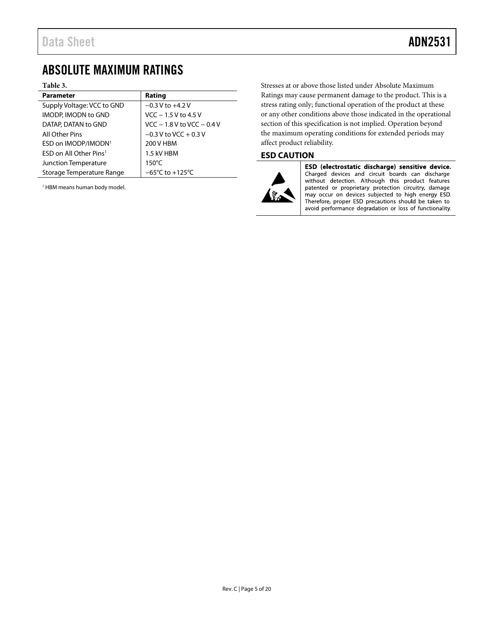## <span id="page-5-0"></span>ABSOLUTE MAXIMUM RATINGS

### <span id="page-5-2"></span>**Table 3.**

| <b>Parameter</b>                     | Rating                               |
|--------------------------------------|--------------------------------------|
| Supply Voltage: VCC to GND           | $-0.3$ V to $+4.2$ V                 |
| <b>IMODP, IMODN to GND</b>           | $VCC - 1.5 V$ to 4.5 V               |
| DATAP, DATAN to GND                  | $VCC - 1.8 V$ to $VCC - 0.4 V$       |
| All Other Pins                       | $-0.3$ V to VCC + 0.3 V              |
| ESD on IMODP/IMODN <sup>1</sup>      | 200 V HBM                            |
| $FSD$ on All Other Pins <sup>1</sup> | 1.5 kV HBM                           |
| Junction Temperature                 | $150^{\circ}$ C                      |
| Storage Temperature Range            | $-65^{\circ}$ C to +125 $^{\circ}$ C |

<sup>1</sup> HBM means human body model.

Stresses at or above those listed under Absolute Maximum Ratings may cause permanent damage to the product. This is a stress rating only; functional operation of the product at these or any other conditions above those indicated in the operational section of this specification is not implied. Operation beyond the maximum operating conditions for extended periods may affect product reliability.

## <span id="page-5-1"></span>**ESD CAUTION**



ESD (electrostatic discharge) sensitive device. Charged devices and circuit boards can discharge without detection. Although this product features patented or proprietary protection circuitry, damage may occur on devices subjected to high energy ESD. Therefore, proper ESD precautions should be taken to avoid performance degradation or loss of functionality.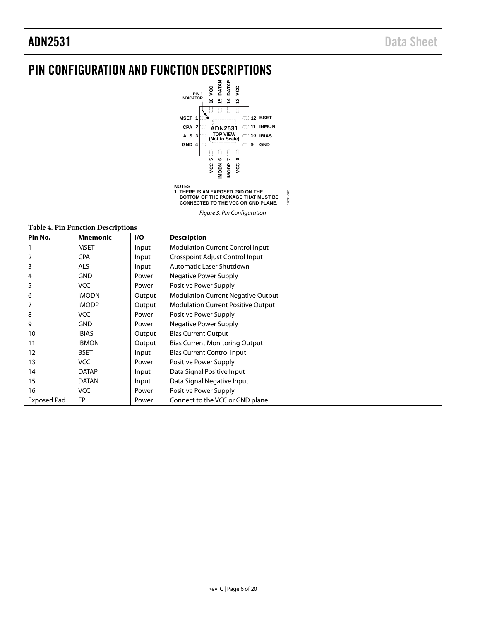# <span id="page-6-0"></span>PIN CONFIGURATION AND FUNCTION DESCRIPTIONS



*Figure 3. Pin Configuration*

| <b>Table 4. Pin Function Descriptions</b> |                 |        |                                           |  |  |  |
|-------------------------------------------|-----------------|--------|-------------------------------------------|--|--|--|
| Pin No.                                   | <b>Mnemonic</b> | I/O    | <b>Description</b>                        |  |  |  |
|                                           | <b>MSET</b>     | Input  | <b>Modulation Current Control Input</b>   |  |  |  |
|                                           | <b>CPA</b>      | Input  | Crosspoint Adjust Control Input           |  |  |  |
| 3                                         | <b>ALS</b>      | Input  | Automatic Laser Shutdown                  |  |  |  |
|                                           | <b>GND</b>      | Power  | Negative Power Supply                     |  |  |  |
| 5                                         | <b>VCC</b>      | Power  | Positive Power Supply                     |  |  |  |
| 6                                         | <b>IMODN</b>    | Output | <b>Modulation Current Negative Output</b> |  |  |  |
|                                           | <b>IMODP</b>    | Output | <b>Modulation Current Positive Output</b> |  |  |  |
| 8                                         | <b>VCC</b>      | Power  | Positive Power Supply                     |  |  |  |
| 9                                         | <b>GND</b>      | Power  | <b>Negative Power Supply</b>              |  |  |  |
| 10                                        | <b>IBIAS</b>    | Output | <b>Bias Current Output</b>                |  |  |  |
| 11                                        | <b>IBMON</b>    | Output | <b>Bias Current Monitoring Output</b>     |  |  |  |
| 12                                        | <b>BSET</b>     | Input  | <b>Bias Current Control Input</b>         |  |  |  |
| 13                                        | <b>VCC</b>      | Power  | Positive Power Supply                     |  |  |  |
| 14                                        | <b>DATAP</b>    | Input  | Data Signal Positive Input                |  |  |  |
| 15                                        | <b>DATAN</b>    | Input  | Data Signal Negative Input                |  |  |  |
| 16                                        | <b>VCC</b>      | Power  | Positive Power Supply                     |  |  |  |
| <b>Exposed Pad</b>                        | EP              | Power  | Connect to the VCC or GND plane           |  |  |  |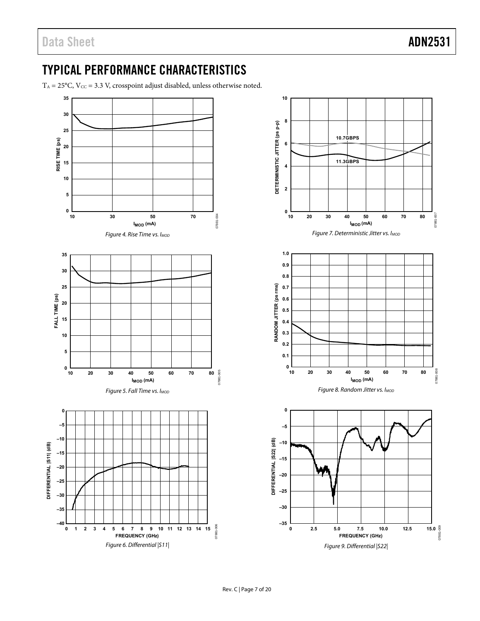## <span id="page-7-0"></span>TYPICAL PERFORMANCE CHARACTERISTICS

 $T_A = 25^{\circ}$ C, V $_{CC} = 3.3$  V, crosspoint adjust disabled, unless otherwise noted.

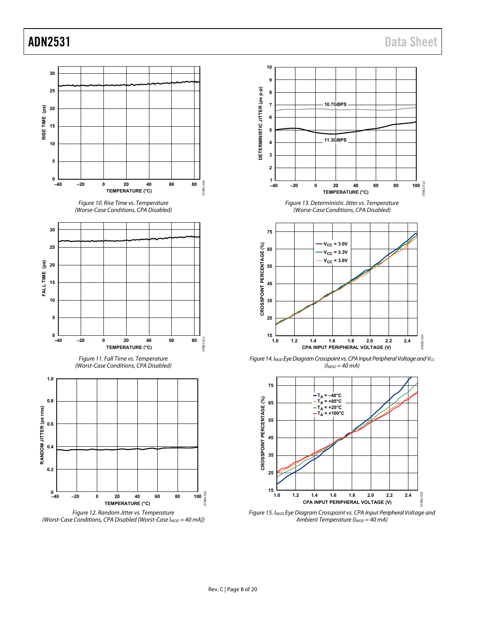





<span id="page-8-0"></span>

<span id="page-8-1"></span>Figure 15. I<sub>MOD</sub> Eye Diagram Crosspoint vs. CPA Input Peripheral Voltage and Ambient Temperature ( $I_{MOD} = 40$  mA)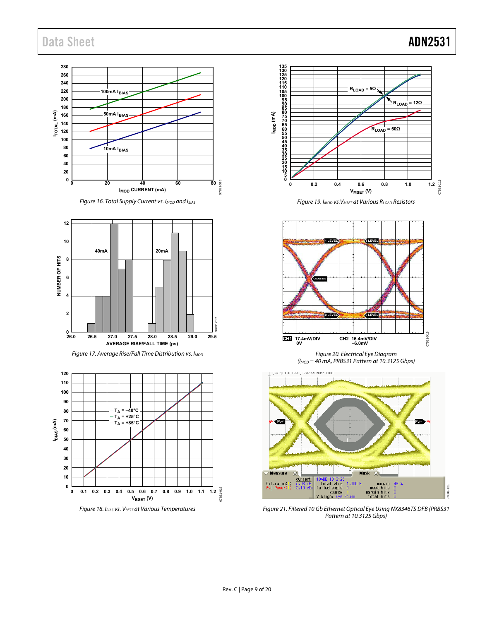## Data Sheet **ADN2531**

### **280 260 240 220 100mA IBIAS 200 180 ITOTAL (mA) 50mA IBIAS 160 140 120 100 80 10mA IBIAS 60 40 20 0**  $016$ 07881-016 **0 20 40 60 80 IMOD CURRENT (mA)** 0788













Figure 19. I<sub>MOD</sub> vs. V<sub>MSET</sub> at Various R<sub>LOAD</sub> Resistors



Figure 20. Electrical Eye Diagram  $(l_{MOD} = 40 \text{ mA}$ , PRBS31 Pattern at 10.3125 Gbps)



Figure 21. Filtered 10 Gb Ethernet Optical Eye Using NX8346TS DFB (PRBS31 Pattern at 10.3125 Gbps)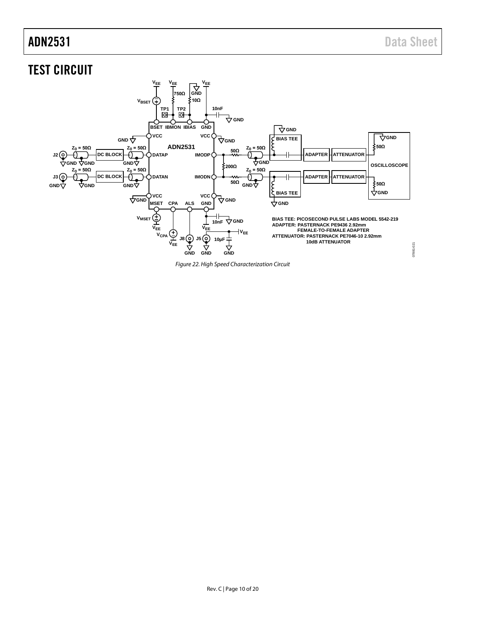# <span id="page-10-0"></span>TEST CIRCUIT



<span id="page-10-1"></span>*Figure 22. High Speed Characterization Circuit*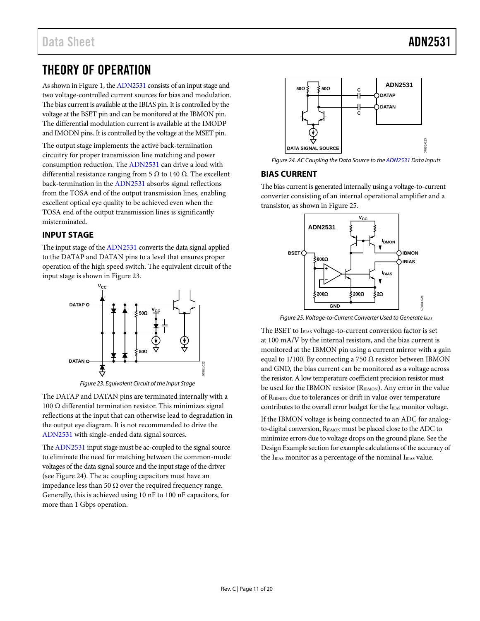## <span id="page-11-0"></span>THEORY OF OPERATION

As shown in [Figure 1,](#page-0-4) th[e ADN2531](http://www.analog.com/ADN2531?doc=ADN2531.pdf) consists of an input stage and two voltage-controlled current sources for bias and modulation. The bias current is available at the IBIAS pin. It is controlled by the voltage at the BSET pin and can be monitored at the IBMON pin. The differential modulation current is available at the IMODP and IMODN pins. It is controlled by the voltage at the MSET pin.

The output stage implements the active back-termination circuitry for proper transmission line matching and power consumption reduction. Th[e ADN2531](http://www.analog.com/ADN2531?doc=ADN2531.pdf) can drive a load with differential resistance ranging from 5  $\Omega$  to 140  $\Omega$ . The excellent back-termination in th[e ADN2531](http://www.analog.com/ADN2531?doc=ADN2531.pdf) absorbs signal reflections from the TOSA end of the output transmission lines, enabling excellent optical eye quality to be achieved even when the TOSA end of the output transmission lines is significantly misterminated.

## <span id="page-11-1"></span>**INPUT STAGE**

The input stage of th[e ADN2531](http://www.analog.com/ADN2531?doc=ADN2531.pdf) converts the data signal applied to the DATAP and DATAN pins to a level that ensures proper operation of the high speed switch. The equivalent circuit of the input stage is shown i[n Figure 23.](#page-11-3)



*Figure 23. Equivalent Circuit of the Input Stage*

<span id="page-11-3"></span>The DATAP and DATAN pins are terminated internally with a 100 Ω differential termination resistor. This minimizes signal reflections at the input that can otherwise lead to degradation in the output eye diagram. It is not recommended to drive the [ADN2531](http://www.analog.com/ADN2531?doc=ADN2531.pdf) with single-ended data signal sources.

Th[e ADN2531](http://www.analog.com/ADN2531?doc=ADN2531.pdf) input stage must be ac-coupled to the signal source to eliminate the need for matching between the common-mode voltages of the data signal source and the input stage of the driver (see [Figure 24\)](#page-11-4). The ac coupling capacitors must have an impedance less than 50  $Ω$  over the required frequency range. Generally, this is achieved using 10 nF to 100 nF capacitors, for more than 1 Gbps operation.



<span id="page-11-4"></span>*Figure 24. AC Coupling the Data Source to th[e ADN2531](http://www.analog.com/ADN2531?doc=ADN2531.pdf) Data Inputs*

## <span id="page-11-2"></span>**BIAS CURRENT**

The bias current is generated internally using a voltage-to-current converter consisting of an internal operational amplifier and a transistor, as shown i[n Figure 25.](#page-11-5)



*Figure 25. Voltage-to-Current Converter Used to Generate IBIAS*

<span id="page-11-5"></span>The BSET to IBIAS voltage-to-current conversion factor is set at 100 mA/V by the internal resistors, and the bias current is monitored at the IBMON pin using a current mirror with a gain equal to 1/100. By connecting a 750  $\Omega$  resistor between IBMON and GND, the bias current can be monitored as a voltage across the resistor. A low temperature coefficient precision resistor must be used for the IBMON resistor (RIBMON). Any error in the value of RIBMON due to tolerances or drift in value over temperature contributes to the overall error budget for the IBIAS monitor voltage.

If the IBMON voltage is being connected to an ADC for analogto-digital conversion, R<sub>IBMON</sub> must be placed close to the ADC to minimize errors due to voltage drops on the ground plane. See the [Design Example](#page-16-1) section for example calculations of the accuracy of the IBIAS monitor as a percentage of the nominal IBIAS value.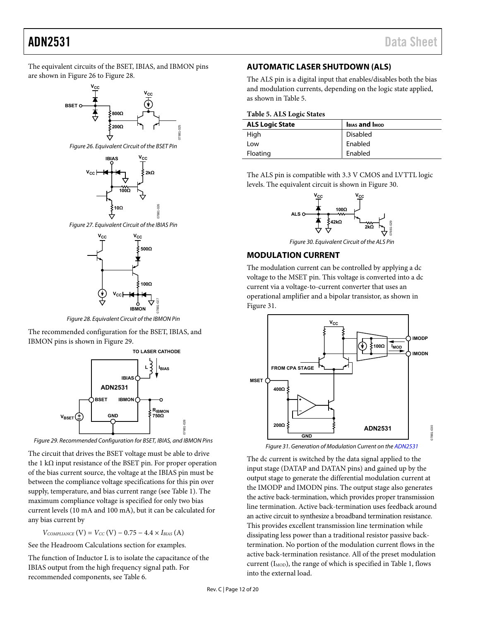The equivalent circuits of the BSET, IBIAS, and IBMON pins are shown i[n Figure 26 t](#page-12-2)[o Figure 28.](#page-12-3)



<span id="page-12-2"></span>Figure 26. Equivalent Circuit of the BSET Pin



Figure 27. Equivalent Circuit of the IBIAS Pin



Figure 28. Equivalent Circuit of the IBMON Pin

<span id="page-12-3"></span>The recommended configuration for the BSET, IBIAS, and IBMON pins is shown i[n Figure 29.](#page-12-4) 



<span id="page-12-4"></span>Figure 29. Recommended Configuration for BSET, IBIAS, and IBMON Pins

The circuit that drives the BSET voltage must be able to drive the 1 kΩ input resistance of the BSET pin. For proper operation of the bias current source, the voltage at the IBIAS pin must be between the compliance voltage specifications for this pin over supply, temperature, and bias current range (se[e Table 1\)](#page-3-1). The maximum compliance voltage is specified for only two bias current levels (10 mA and 100 mA), but it can be calculated for any bias current by

 $V_{COMPLIANCE}$  (V) =  $V_{CC}$  (V) – 0.75 – 4.4  $\times$  *IBIAS* (A)

See the [Headroom Calculations](#page-16-2) section for examples.

The function of Inductor L is to isolate the capacitance of the IBIAS output from the high frequency signal path. For recommended components, see [Table 6.](#page-15-1)

## <span id="page-12-0"></span>**AUTOMATIC LASER SHUTDOWN (ALS)**

The ALS pin is a digital input that enables/disables both the bias and modulation currents, depending on the logic state applied, as shown i[n Table 5.](#page-12-5) 

<span id="page-12-5"></span>

| <b>ALS Logic State</b> | <b>IBIAS and IMOD</b> |
|------------------------|-----------------------|
| High                   | <b>Disabled</b>       |
| Low                    | Enabled               |
| Floating               | Enabled               |

The ALS pin is compatible with 3.3 V CMOS and LVTTL logic levels. The equivalent circuit is shown i[n Figure 30.](#page-12-6)



Figure 30. Equivalent Circuit of the ALS Pin

## <span id="page-12-6"></span><span id="page-12-1"></span>**MODULATION CURRENT**

The modulation current can be controlled by applying a dc voltage to the MSET pin. This voltage is converted into a dc current via a voltage-to-current converter that uses an operational amplifier and a bipolar transistor, as shown in [Figure 31.](#page-12-7) 



Figure 31. Generation of Modulation Current on th[e ADN2531](http://www.analog.com/ADN2531?doc=ADN2531.pdf)

<span id="page-12-7"></span>The dc current is switched by the data signal applied to the input stage (DATAP and DATAN pins) and gained up by the output stage to generate the differential modulation current at the IMODP and IMODN pins. The output stage also generates the active back-termination, which provides proper transmission line termination. Active back-termination uses feedback around an active circuit to synthesize a broadband termination resistance. This provides excellent transmission line termination while dissipating less power than a traditional resistor passive backtermination. No portion of the modulation current flows in the active back-termination resistance. All of the preset modulation current ( $I_{MOD}$ ), the range of which is specified i[n Table 1,](#page-3-1) flows into the external load.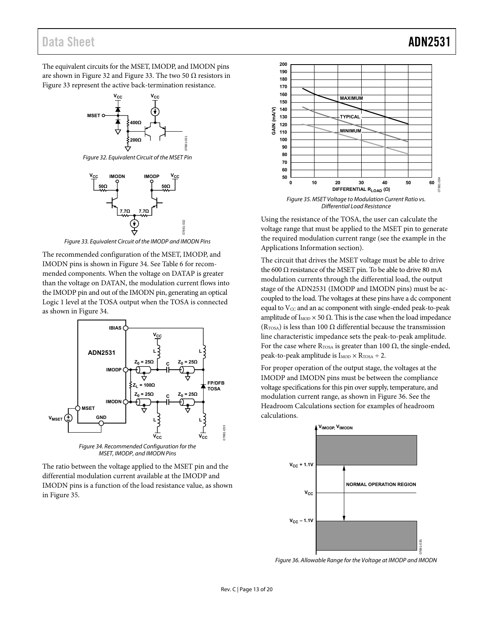## Data Sheet **ADN2531**

The equivalent circuits for the MSET, IMODP, and IMODN pins are shown i[n Figure 32 a](#page-13-0)nd [Figure 33.](#page-13-1) The two 50  $\Omega$  resistors in [Figure 33 r](#page-13-1)epresent the active back-termination resistance.



<span id="page-13-0"></span>Figure 32. Equivalent Circuit of the MSET Pin



Figure 33. Equivalent Circuit of the IMODP and IMODN Pins

<span id="page-13-1"></span>The recommended configuration of the MSET, IMODP, and IMODN pins is shown in [Figure 34.](#page-13-2) See [Table 6](#page-15-1) for recommended components. When the voltage on DATAP is greater than the voltage on DATAN, the modulation current flows into the IMODP pin and out of the IMODN pin, generating an optical Logic 1 level at the TOSA output when the TOSA is connected as shown i[n Figure 34.](#page-13-2) 



MSET, IMODP, and IMODN Pins

<span id="page-13-2"></span>The ratio between the voltage applied to the MSET pin and the differential modulation current available at the IMODP and IMODN pins is a function of the load resistance value, as shown in [Figure 35.](#page-13-3) 



<span id="page-13-3"></span>Using the resistance of the TOSA, the user can calculate the voltage range that must be applied to the MSET pin to generate the required modulation current range (see the example in the [Applications Information s](#page-15-2)ection).

The circuit that drives the MSET voltage must be able to drive the 600  $Ω$  resistance of the MSET pin. To be able to drive 80 mA modulation currents through the differential load, the output stage of the ADN2531 (IMODP and IMODN pins) must be accoupled to the load. The voltages at these pins have a dc component equal to  $V_{CC}$  and an ac component with single-ended peak-to-peak amplitude of  $I_{MOD}$  × 50 Ω. This is the case when the load impedance (R<sub>TOSA</sub>) is less than 100  $\Omega$  differential because the transmission line characteristic impedance sets the peak-to-peak amplitude. For the case where  $R_{TOSA}$  is greater than 100  $\Omega$ , the single-ended, peak-to-peak amplitude is  $I_{\text{MOD}} \times R_{\text{TOSA}} \div 2$ .

For proper operation of the output stage, the voltages at the IMODP and IMODN pins must be between the compliance voltage specifications for this pin over supply, temperature, and modulation current range, as shown in [Figure 36.](#page-13-4) See the [Headroom Calculations s](#page-16-2)ection for examples of headroom calculations.



<span id="page-13-4"></span>Figure 36. Allowable Range for the Voltage at IMODP and IMODN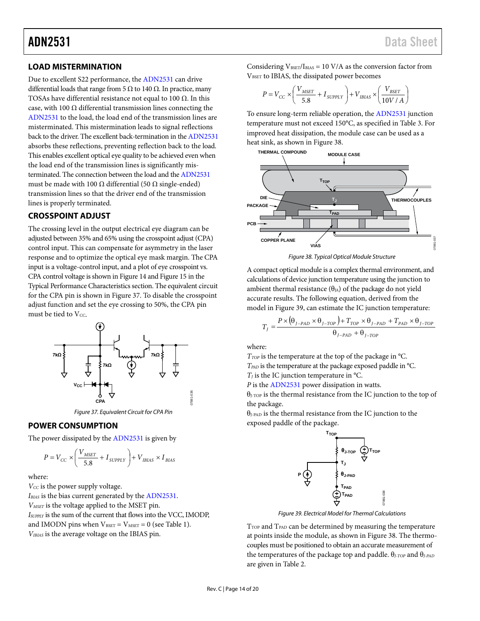## ADN2531 Data Sheet

## <span id="page-14-0"></span>**LOAD MISTERMINATION**

Due to excellent S22 performance, th[e ADN2531](http://www.analog.com/ADN2531?doc=ADN2531.pdf) can drive differential loads that range from 5  $\Omega$  to 140  $\Omega$ . In practice, many TOSAs have differential resistance not equal to 100  $\Omega$ . In this case, with 100  $\Omega$  differential transmission lines connecting the [ADN2531](http://www.analog.com/ADN2531?doc=ADN2531.pdf) to the load, the load end of the transmission lines are misterminated. This mistermination leads to signal reflections back to the driver. The excellent back-termination in th[e ADN2531](http://www.analog.com/ADN2531?doc=ADN2531.pdf) absorbs these reflections, preventing reflection back to the load. This enables excellent optical eye quality to be achieved even when the load end of the transmission lines is significantly misterminated. The connection between the load and the [ADN2531](http://www.analog.com/ADN2531?doc=ADN2531.pdf) must be made with 100 Ω differential (50 Ω single-ended) transmission lines so that the driver end of the transmission lines is properly terminated.

## <span id="page-14-1"></span>**CROSSPOINT ADJUST**

The crossing level in the output electrical eye diagram can be adjusted between 35% and 65% using the crosspoint adjust (CPA) control input. This can compensate for asymmetry in the laser response and to optimize the optical eye mask margin. The CPA input is a voltage-control input, and a plot of eye crosspoint vs. CPA control voltage is shown in [Figure 14](#page-8-0) an[d Figure 15](#page-8-1) in the Typical Performance Characteristics section. The equivalent circuit for the CPA pin is shown in [Figure 37.](#page-14-4) To disable the crosspoint adjust function and set the eye crossing to 50%, the CPA pin must be tied to Vcc.



*Figure 37. Equivalent Circuit for CPA Pin*

### <span id="page-14-4"></span><span id="page-14-2"></span>**POWER CONSUMPTION**

The power dissipated by th[e ADN2531](http://www.analog.com/ADN2531?doc=ADN2531.pdf) is given by

$$
P = V_{CC} \times \left(\frac{V_{MSET}}{5.8} + I_{\text{SUPPLY}}\right) + V_{\text{IBIAS}} \times I_{\text{BIAS}}
$$

where:

 $V_{CC}$  is the power supply voltage.

*IBIAS* is the bias current generated by th[e ADN2531.](http://www.analog.com/ADN2531?doc=ADN2531.pdf)

*VMSET* is the voltage applied to the MSET pin.

<span id="page-14-3"></span>*ISUPPLY* is the sum of the current that flows into the VCC, IMODP, and IMODN pins when  $V_{\text{BSET}} = V_{\text{MSET}} = 0$  (se[e Table 1\)](#page-3-1). *VIBIAS* is the average voltage on the IBIAS pin.

Considering  $V_{\text{BSET}}/I_{\text{BIAS}} = 10 \text{ V/A}$  as the conversion factor from VBSET to IBIAS, the dissipated power becomes

$$
P = V_{CC} \times \left(\frac{V_{MSET}}{5.8} + I_{SDPPLY}\right) + V_{IBIAS} \times \left(\frac{V_{BSET}}{10V/A}\right)
$$

To ensure long-term reliable operation, th[e ADN2531](http://www.analog.com/ADN2531?doc=ADN2531.pdf) junction temperature must not exceed 150°C, as specified in [Table 3.](#page-5-2) For improved heat dissipation, the module case can be used as a heat sink, as shown in [Figure 38.](#page-14-5) 



*Figure 38. Typical Optical Module Structure*

<span id="page-14-5"></span>A compact optical module is a complex thermal environment, and calculations of device junction temperature using the junction to ambient thermal resistance  $(\theta_{JA})$  of the package do not yield accurate results. The following equation, derived from the model i[n Figure 39,](#page-14-6) can estimate the IC junction temperature:

$$
T_{J} = \frac{P \times (\theta_{J-PAD} \times \theta_{J-TOP}) + T_{TOP} \times \theta_{J-PAD} + T_{PAD} \times \theta_{J-TOP}}{\theta_{J-PAD} + \theta_{J-TOP}}
$$

where:

*T*<sub>*TOP*</sub> is the temperature at the top of the package in °C. *TPAD* is the temperature at the package exposed paddle in °C.  $T_J$  is the IC junction temperature in  $\rm{°C}$ .

*P* is the [ADN2531](http://www.analog.com/ADN2531?doc=ADN2531.pdf) power dissipation in watts.

θJ-TOP is the thermal resistance from the IC junction to the top of the package.

 $\theta_{J\text{-PAD}}$  is the thermal resistance from the IC junction to the exposed paddle of the package.



*Figure 39. Electrical Model for Thermal Calculations*

<span id="page-14-6"></span>T<sub>TOP</sub> and T<sub>PAD</sub> can be determined by measuring the temperature at points inside the module, as shown in [Figure 38.](#page-14-5) The thermocouples must be positioned to obtain an accurate measurement of the temperatures of the package top and paddle. θ*J-TOP* and θ*J-PAD* are given i[n Table 2.](#page-4-3)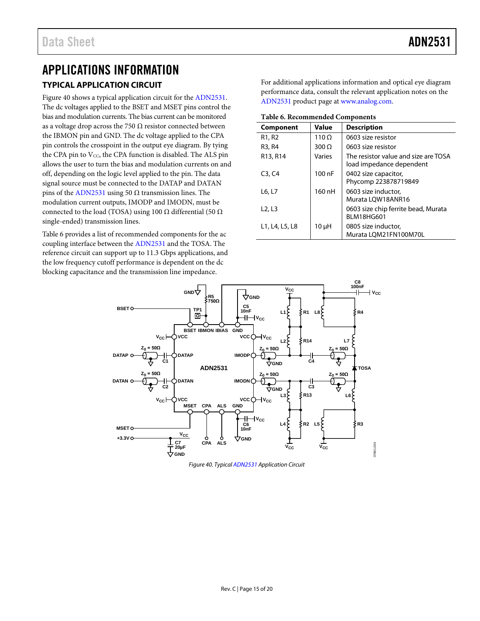## <span id="page-15-2"></span><span id="page-15-0"></span>APPLICATIONS INFORMATION **TYPICAL APPLICATION CIRCUIT**

[Figure 40](#page-15-3) shows a typical application circuit for the [ADN2531.](http://www.analog.com/ADN2531?doc=ADN2531.pdf)  The dc voltages applied to the BSET and MSET pins control the bias and modulation currents. The bias current can be monitored as a voltage drop across the 750  $\Omega$  resistor connected between the IBMON pin and GND. The dc voltage applied to the CPA pin controls the crosspoint in the output eye diagram. By tying the CPA pin to  $V_{CC}$ , the CPA function is disabled. The ALS pin allows the user to turn the bias and modulation currents on and off, depending on the logic level applied to the pin. The data signal source must be connected to the DATAP and DATAN pins of the [ADN2531](http://www.analog.com/ADN2531?doc=ADN2531.pdf) using 50  $Ω$  transmission lines. The modulation current outputs, IMODP and IMODN, must be connected to the load (TOSA) using 100  $\Omega$  differential (50  $\Omega$ ) single-ended) transmission lines.

[Table 6](#page-15-1) provides a list of recommended components for the ac coupling interface between th[e ADN2531](http://www.analog.com/ADN2531?doc=ADN2531.pdf) and the TOSA. The reference circuit can support up to 11.3 Gbps applications, and the low frequency cutoff performance is dependent on the dc blocking capacitance and the transmission line impedance.

For additional applications information and optical eye diagram performance data, consult the relevant application notes on the [ADN2531](http://www.analog.com/ADN2531?doc=ADN2531.pdf) product page at [www.analog.com.](http://www.analog.com/?doc=ADN2531.pdf)

<span id="page-15-1"></span>**Table 6. Recommended Components**

| Component                       | Value        | <b>Description</b>                                               |  |
|---------------------------------|--------------|------------------------------------------------------------------|--|
| R <sub>1</sub> , R <sub>2</sub> | $110 \Omega$ | 0603 size resistor                                               |  |
| R3, R4                          | $300 \Omega$ | 0603 size resistor                                               |  |
| R13, R14                        | Varies       | The resistor value and size are TOSA<br>load impedance dependent |  |
| C3, C4                          | 100nF        | 0402 size capacitor,<br>Phycomp 223878719849                     |  |
| L6, L7                          | 160 nH       | 0603 size inductor,<br>Murata LOW18ANR16                         |  |
| L <sub>2</sub> , L <sub>3</sub> |              | 0603 size chip ferrite bead, Murata<br><b>BLM18HG601</b>         |  |
| L1, L4, L5, L8                  | 10 µH        | 0805 size inductor,<br>Murata LQM21FN100M70L                     |  |



<span id="page-15-3"></span>*Figure 40. Typica[l ADN2531](http://www.analog.com/ADN2531?doc=ADN2531.pdf) Application Circuit*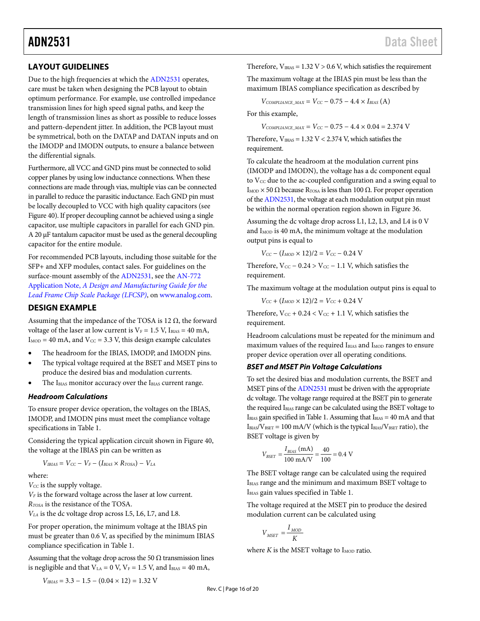## <span id="page-16-0"></span>**LAYOUT GUIDELINES**

Due to the high frequencies at which the [ADN2531](http://www.analog.com/ADN2531?doc=ADN2531.pdf) operates, care must be taken when designing the PCB layout to obtain optimum performance. For example, use controlled impedance transmission lines for high speed signal paths, and keep the length of transmission lines as short as possible to reduce losses and pattern-dependent jitter. In addition, the PCB layout must be symmetrical, both on the DATAP and DATAN inputs and on the IMODP and IMODN outputs, to ensure a balance between the differential signals.

Furthermore, all VCC and GND pins must be connected to solid copper planes by using low inductance connections. When these connections are made through vias, multiple vias can be connected in parallel to reduce the parasitic inductance. Each GND pin must be locally decoupled to VCC with high quality capacitors (see [Figure 40\)](#page-15-3). If proper decoupling cannot be achieved using a single capacitor, use multiple capacitors in parallel for each GND pin. A 20 µF tantalum capacitor must be used as the general decoupling capacitor for the entire module.

For recommended PCB layouts, including those suitable for the SFP+ and XFP modules, contact sales. For guidelines on the surface-mount assembly of th[e ADN2531,](http://www.analog.com/ADN2531?doc=ADN2531.pdf) see th[e AN-772](http://www.analog.com/AN-772?doc=ADN2531.pdf)  Application Note, *[A Design and Manufacturing Guide for the](http://www.analog.com/AN-772?doc=ADN2531.pdf)  [Lead Frame Chip Scale Package \(LFCSP\)](http://www.analog.com/AN-772?doc=ADN2531.pdf)*, on [www.analog.com.](http://www.analog.com/)

### <span id="page-16-1"></span>**DESIGN EXAMPLE**

Assuming that the impedance of the TOSA is 12  $\Omega$ , the forward voltage of the laser at low current is  $V_F = 1.5$  V, I<sub>BIAS</sub> = 40 mA,  $I_{MOD} = 40$  mA, and  $V_{CC} = 3.3$  V, this design example calculates

- The headroom for the IBIAS, IMODP, and IMODN pins.
- The typical voltage required at the BSET and MSET pins to produce the desired bias and modulation currents.
- The IBIAS monitor accuracy over the IBIAS current range.

### <span id="page-16-2"></span>*Headroom Calculations*

To ensure proper device operation, the voltages on the IBIAS, IMODP, and IMODN pins must meet the compliance voltage specifications i[n Table 1.](#page-3-1)

Considering the typical application circuit shown in [Figure 40,](#page-15-3)  the voltage at the IBIAS pin can be written as

$$
V_{IBIAS} = V_{CC} - V_F - (I_{BIAS} \times R_{TOSA}) - V_{LA}
$$

where:

*V<sub>CC</sub>* is the supply voltage.

*VF* is the forward voltage across the laser at low current.

*RTOSA* is the resistance of the TOSA.

*VLA* is the dc voltage drop across L5, L6, L7, and L8.

For proper operation, the minimum voltage at the IBIAS pin must be greater than 0.6 V, as specified by the minimum IBIAS compliance specification in [Table 1.](#page-3-1)

Assuming that the voltage drop across the 50  $\Omega$  transmission lines is negligible and that  $V_{LA} = 0$  V,  $V_F = 1.5$  V, and  $I_{BIAS} = 40$  mA,

 $V_{IBIAS} = 3.3 - 1.5 - (0.04 \times 12) = 1.32$  V

Therefore,  $V_{IBIAS} = 1.32 V > 0.6 V$ , which satisfies the requirement

The maximum voltage at the IBIAS pin must be less than the maximum IBIAS compliance specification as described by

 $V_{COMPLIANCE\ MAX} = V_{CC} - 0.75 - 4.4 \times I_{BIAS}$  (A)

For this example,

 $V_{COMPLIANCE\_MAX} = V_{CC} - 0.75 - 4.4 \times 0.04 = 2.374$  V

Therefore,  $V_{IBIAS} = 1.32 V < 2.374 V$ , which satisfies the requirement.

To calculate the headroom at the modulation current pins (IMODP and IMODN), the voltage has a dc component equal to  $V_{CC}$  due to the ac-coupled configuration and a swing equal to I<sub>MOD</sub>  $\times$  50 Ω because R<sub>TOSA</sub> is less than 100 Ω. For proper operation of th[e ADN2531,](http://www.analog.com/ADN2531?doc=ADN2531.pdf) the voltage at each modulation output pin must be within the normal operation region shown i[n Figure 36.](#page-13-4)

Assuming the dc voltage drop across L1, L2, L3, and L4 is 0 V and  $I_{\text{MOD}}$  is 40 mA, the minimum voltage at the modulation output pins is equal to

 $V_{CC} - (I_{MOD} \times 12)/2 = V_{CC} - 0.24$  V

Therefore,  $V_{CC}$  – 0.24 >  $V_{CC}$  – 1.1 V, which satisfies the requirement.

The maximum voltage at the modulation output pins is equal to

 $V_{CC} + (I_{MOD} \times 12)/2 = V_{CC} + 0.24$  V

Therefore,  $V_{CC}$  + 0.24 <  $V_{CC}$  + 1.1 V, which satisfies the requirement.

Headroom calculations must be repeated for the minimum and maximum values of the required IBIAS and I<sub>MOD</sub> ranges to ensure proper device operation over all operating conditions.

### *BSET and MSET Pin Voltage Calculations*

To set the desired bias and modulation currents, the BSET and MSET pins of the [ADN2531](http://www.analog.com/ADN2531?doc=ADN2531.pdf) must be driven with the appropriate dc voltage. The voltage range required at the BSET pin to generate the required I<sub>BIAS</sub> range can be calculated using the BSET voltage to IBIAS gain specified i[n Table 1.](#page-3-1) Assuming that IBIAS = 40 mA and that  $I_{BIAS}/V_{BSET} = 100$  mA/V (which is the typical  $I_{BIAS}/V_{BSET}$  ratio), the BSET voltage is given by

$$
V_{BSET} = \frac{I_{BIAS} \text{ (mA)}}{100 \text{ mA/V}} = \frac{40}{100} = 0.4 \text{ V}
$$

The BSET voltage range can be calculated using the required IBIAS range and the minimum and maximum BSET voltage to IBIAS gain values specified i[n Table 1.](#page-3-1)

The voltage required at the MSET pin to produce the desired modulation current can be calculated using

$$
V_{\text{MSET}} = \frac{I_{\text{MOD}}}{K}
$$

where  $K$  is the MSET voltage to  $I_{\text{MOD}}$  ratio.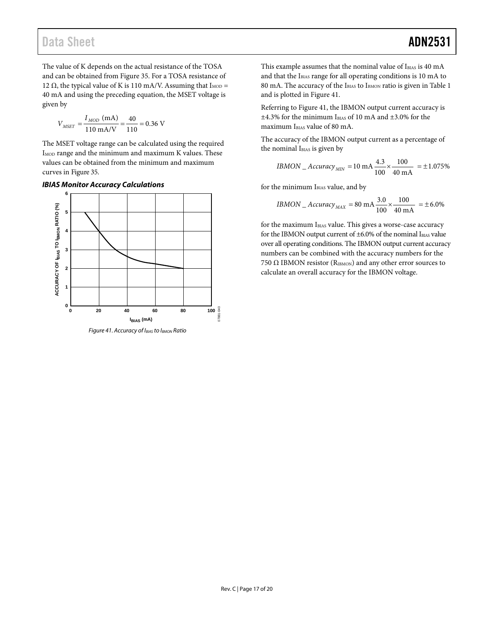The value of K depends on the actual resistance of the TOSA and can be obtained fro[m Figure 35.](#page-13-3) For a TOSA resistance of 12 Ω, the typical value of K is 110 mA/V. Assuming that  $I_{\text{MOD}} =$ 40 mA and using the preceding equation, the MSET voltage is given by

$$
V_{MSET} = \frac{I_{MOD} \text{ (mA)}}{110 \text{ mA/V}} = \frac{40}{110} = 0.36 \text{ V}
$$

The MSET voltage range can be calculated using the required  $I_{\text{MOD}}$  range and the minimum and maximum K values. These values can be obtained from the minimum and maximum curves in [Figure 35.](#page-13-3)

### *IBIAS Monitor Accuracy Calculations*



<span id="page-17-0"></span>*Figure 41. Accuracy of IBIAS to IBMON Ratio*

This example assumes that the nominal value of IBIAS is 40 mA and that the IBIAS range for all operating conditions is 10 mA to 80 mA. The accuracy of the IBIAS to IBMON ratio is given i[n Table 1](#page-3-1) and is plotted i[n Figure 41.](#page-17-0)

Referring to [Figure 41,](#page-17-0) the IBMON output current accuracy is  $\pm 4.3\%$  for the minimum I $_{\rm BIAS}$  of 10 mA and  $\pm 3.0\%$  for the maximum IBIAS value of 80 mA.

The accuracy of the IBMON output current as a percentage of the nominal I<sub>BIAS</sub> is given by

$$
IBMON\_Accuracy_{MIN} = 10 \text{ mA} \frac{4.3}{100} \times \frac{100}{40 \text{ mA}} = \pm 1.075\%
$$

for the minimum IBIAS value, and by

$$
IBMON\_Accuracy_{MAX} = 80 \text{ mA} \frac{3.0}{100} \times \frac{100}{40 \text{ mA}} = \pm 6.0\%
$$

for the maximum IBIAS value. This gives a worse-case accuracy for the IBMON output current of  $\pm 6.0$ % of the nominal IBIAS value over all operating conditions. The IBMON output current accuracy numbers can be combined with the accuracy numbers for the 750 Ω IBMON resistor ( $R<sub>IBMON</sub>$ ) and any other error sources to calculate an overall accuracy for the IBMON voltage.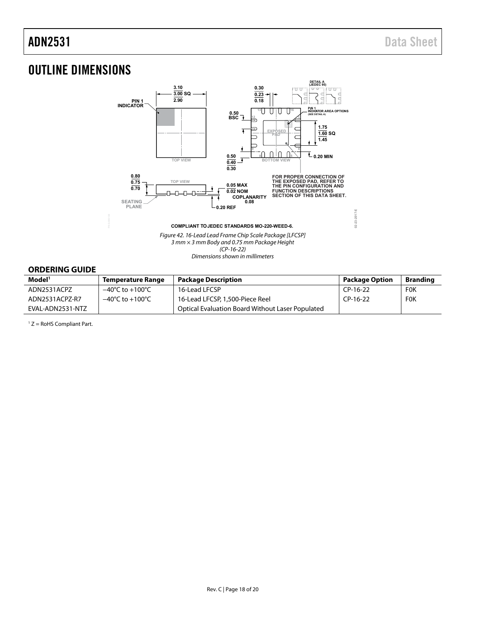# <span id="page-18-0"></span>OUTLINE DIMENSIONS



Dimensions shown in millimeters

## <span id="page-18-1"></span>**ORDERING GUIDE**

| Model <sup>1</sup> | <b>Temperature Range</b>            | <b>Package Description</b>                              | <b>Package Option</b> | Branding   |
|--------------------|-------------------------------------|---------------------------------------------------------|-----------------------|------------|
| ADN2531ACPZ        | $-40^{\circ}$ C to $+100^{\circ}$ C | 16-Lead LFCSP                                           | CP-16-22              | <b>FOK</b> |
| ADN2531ACPZ-R7     | $-40^{\circ}$ C to $+100^{\circ}$ C | 16-Lead LFCSP, 1,500-Piece Reel                         | CP-16-22              | <b>FOK</b> |
| EVAL-ADN2531-NTZ   |                                     | <b>Optical Evaluation Board Without Laser Populated</b> |                       |            |

 $1 Z =$  RoHS Compliant Part.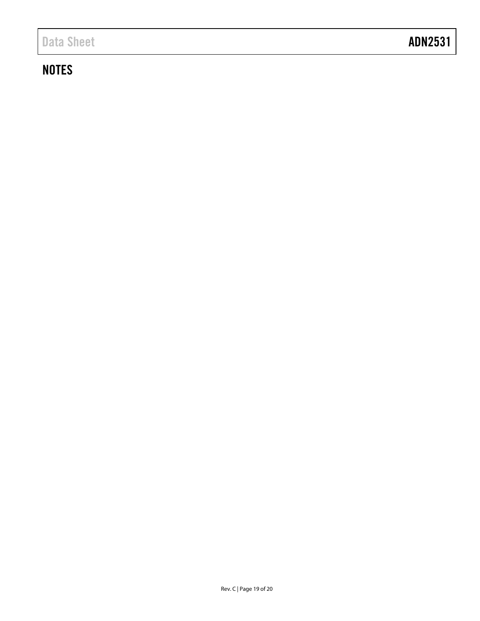# **NOTES**